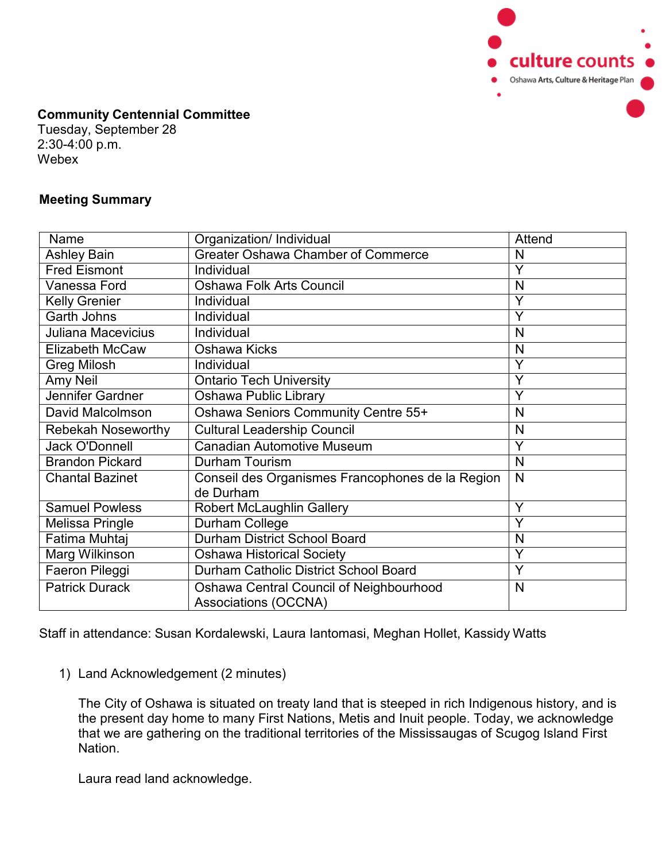

## **Community Centennial Committee**

Tuesday, September 28 2:30-4:00 p.m. Webex

## **Meeting Summary**

| Name                      | Organization/ Individual                         | Attend |
|---------------------------|--------------------------------------------------|--------|
| <b>Ashley Bain</b>        | <b>Greater Oshawa Chamber of Commerce</b>        | N      |
| <b>Fred Eismont</b>       | Individual                                       | Y      |
| Vanessa Ford              | <b>Oshawa Folk Arts Council</b>                  | N      |
| <b>Kelly Grenier</b>      | <b>Individual</b>                                | Y      |
| <b>Garth Johns</b>        | Individual                                       | Y      |
| Juliana Macevicius        | Individual                                       | N      |
| <b>Elizabeth McCaw</b>    | Oshawa Kicks                                     | N      |
| <b>Greg Milosh</b>        | Individual                                       | Y      |
| Amy Neil                  | <b>Ontario Tech University</b>                   | Y      |
| Jennifer Gardner          | Oshawa Public Library                            | Y      |
| David Malcolmson          | Oshawa Seniors Community Centre 55+              | N      |
| <b>Rebekah Noseworthy</b> | <b>Cultural Leadership Council</b>               | N      |
| Jack O'Donnell            | <b>Canadian Automotive Museum</b>                | Y      |
| <b>Brandon Pickard</b>    | Durham Tourism                                   | N      |
| <b>Chantal Bazinet</b>    | Conseil des Organismes Francophones de la Region | N      |
|                           | de Durham                                        |        |
| <b>Samuel Powless</b>     | <b>Robert McLaughlin Gallery</b>                 | Ÿ      |
| <b>Melissa Pringle</b>    | Durham College                                   | Y      |
| Fatima Muhtaj             | <b>Durham District School Board</b>              | N      |
| Marg Wilkinson            | <b>Oshawa Historical Society</b>                 | Y      |
| Faeron Pileggi            | Durham Catholic District School Board            | Y      |
| <b>Patrick Durack</b>     | Oshawa Central Council of Neighbourhood          | N      |
|                           | <b>Associations (OCCNA)</b>                      |        |

Staff in attendance: Susan Kordalewski, Laura Iantomasi, Meghan Hollet, Kassidy Watts

1) Land Acknowledgement (2 minutes)

The City of Oshawa is situated on treaty land that is steeped in rich Indigenous history, and is the present day home to many First Nations, Metis and Inuit people. Today, we acknowledge that we are gathering on the traditional territories of the Mississaugas of Scugog Island First Nation.

Laura read land acknowledge.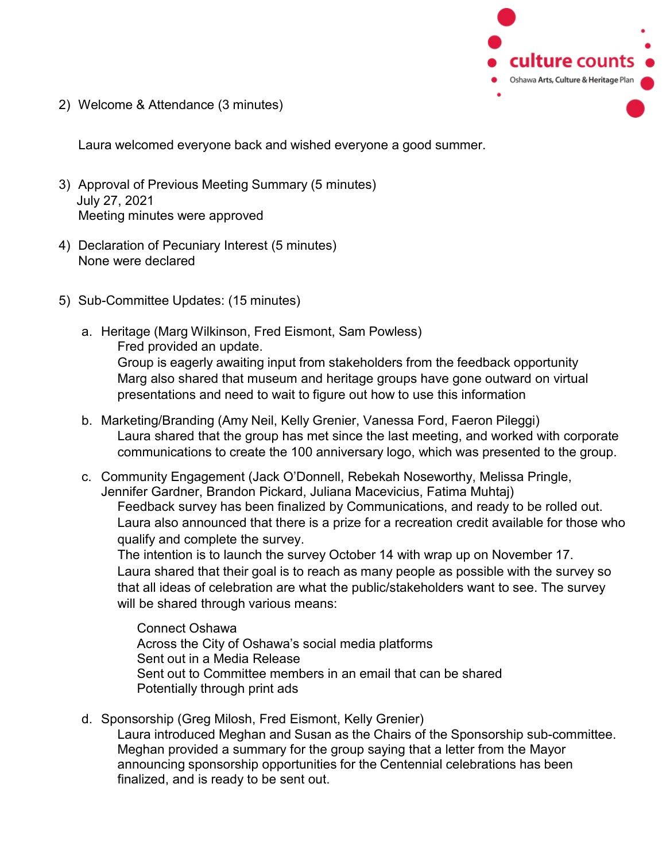

2) Welcome & Attendance (3 minutes)

Laura welcomed everyone back and wished everyone a good summer.

- 3) Approval of Previous Meeting Summary (5 minutes) July 27, 2021 Meeting minutes were approved
- 4) Declaration of Pecuniary Interest (5 minutes) None were declared
- 5) Sub-Committee Updates: (15 minutes)
	- a. Heritage (Marg Wilkinson, Fred Eismont, Sam Powless) Fred provided an update. Group is eagerly awaiting input from stakeholders from the feedback opportunity Marg also shared that museum and heritage groups have gone outward on virtual presentations and need to wait to figure out how to use this information
	- b. Marketing/Branding (Amy Neil, Kelly Grenier, Vanessa Ford, Faeron Pileggi) Laura shared that the group has met since the last meeting, and worked with corporate communications to create the 100 anniversary logo, which was presented to the group.
	- c. Community Engagement (Jack O'Donnell, Rebekah Noseworthy, Melissa Pringle, Jennifer Gardner, Brandon Pickard, Juliana Macevicius, Fatima Muhtaj) Feedback survey has been finalized by Communications, and ready to be rolled out. Laura also announced that there is a prize for a recreation credit available for those who qualify and complete the survey.

The intention is to launch the survey October 14 with wrap up on November 17. Laura shared that their goal is to reach as many people as possible with the survey so that all ideas of celebration are what the public/stakeholders want to see. The survey will be shared through various means:

Connect Oshawa Across the City of Oshawa's social media platforms Sent out in a Media Release Sent out to Committee members in an email that can be shared Potentially through print ads

d. Sponsorship (Greg Milosh, Fred Eismont, Kelly Grenier) Laura introduced Meghan and Susan as the Chairs of the Sponsorship sub-committee. Meghan provided a summary for the group saying that a letter from the Mayor announcing sponsorship opportunities for the Centennial celebrations has been finalized, and is ready to be sent out.